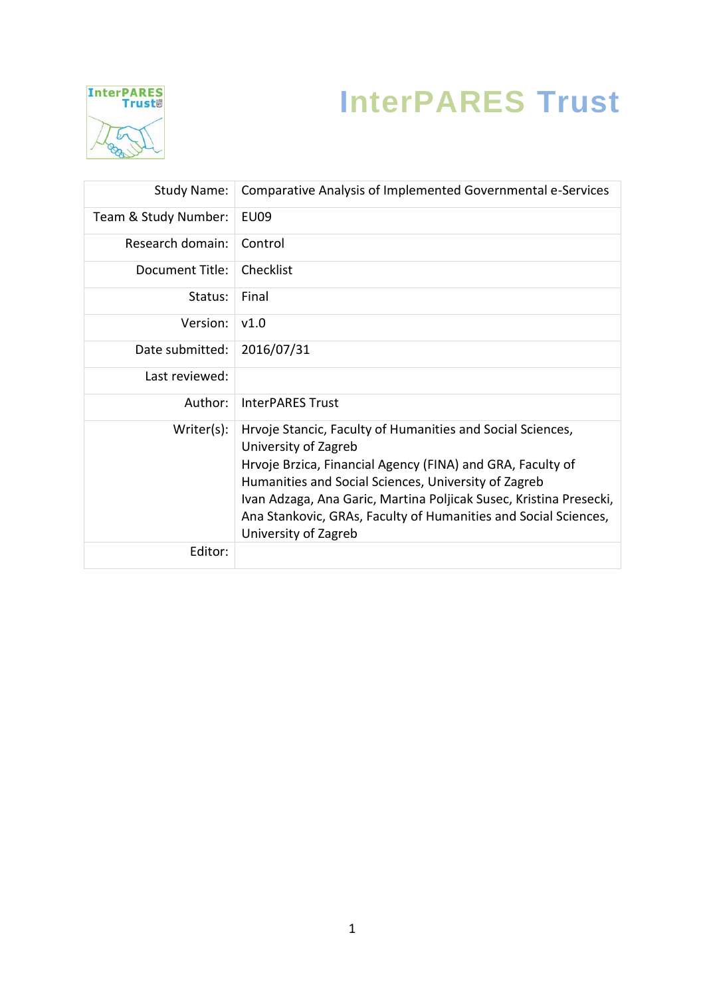

## **InterPARES Trust**

| Study Name:          | Comparative Analysis of Implemented Governmental e-Services                                                                                                                                              |
|----------------------|----------------------------------------------------------------------------------------------------------------------------------------------------------------------------------------------------------|
| Team & Study Number: | EU09                                                                                                                                                                                                     |
| Research domain:     | Control                                                                                                                                                                                                  |
| Document Title:      | Checklist                                                                                                                                                                                                |
| Status:              | Final                                                                                                                                                                                                    |
| Version:             | v1.0                                                                                                                                                                                                     |
| Date submitted:      | 2016/07/31                                                                                                                                                                                               |
| Last reviewed:       |                                                                                                                                                                                                          |
| Author:              | <b>InterPARES Trust</b>                                                                                                                                                                                  |
| Writer(s):           | Hrvoje Stancic, Faculty of Humanities and Social Sciences,<br>University of Zagreb<br>Hrvoje Brzica, Financial Agency (FINA) and GRA, Faculty of<br>Humanities and Social Sciences, University of Zagreb |
|                      | Ivan Adzaga, Ana Garic, Martina Poljicak Susec, Kristina Presecki,<br>Ana Stankovic, GRAs, Faculty of Humanities and Social Sciences,<br>University of Zagreb                                            |
| Editor:              |                                                                                                                                                                                                          |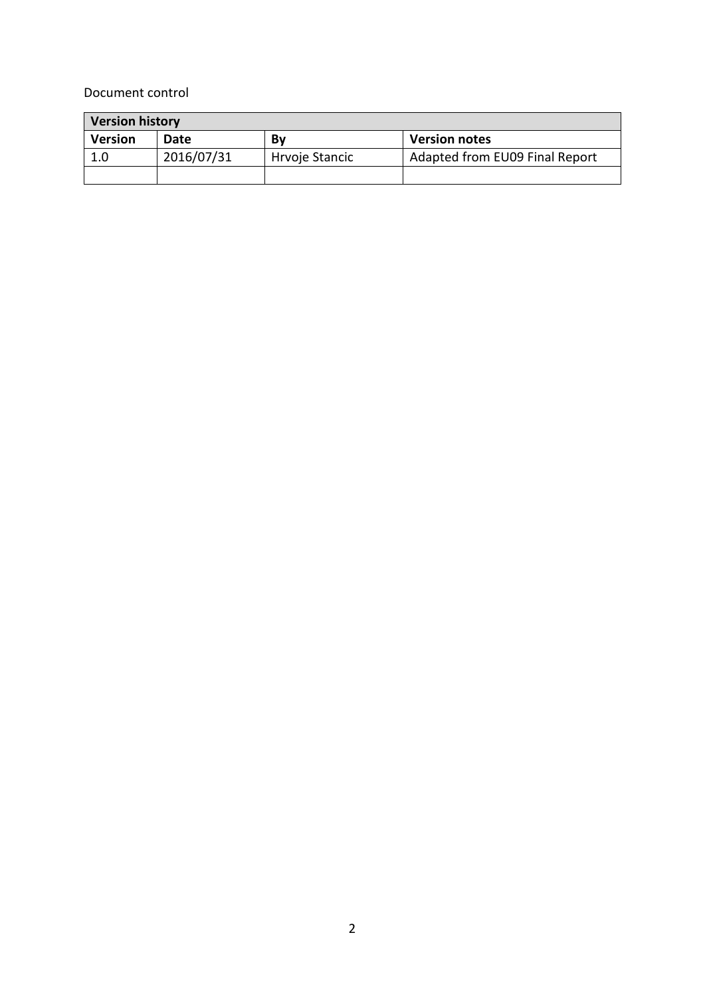## Document control

| <b>Version history</b> |            |                |                                |  |  |  |  |  |
|------------------------|------------|----------------|--------------------------------|--|--|--|--|--|
| <b>Version</b>         | Date       | Bv             | <b>Version notes</b>           |  |  |  |  |  |
| 1.0                    | 2016/07/31 | Hrvoje Stancic | Adapted from EU09 Final Report |  |  |  |  |  |
|                        |            |                |                                |  |  |  |  |  |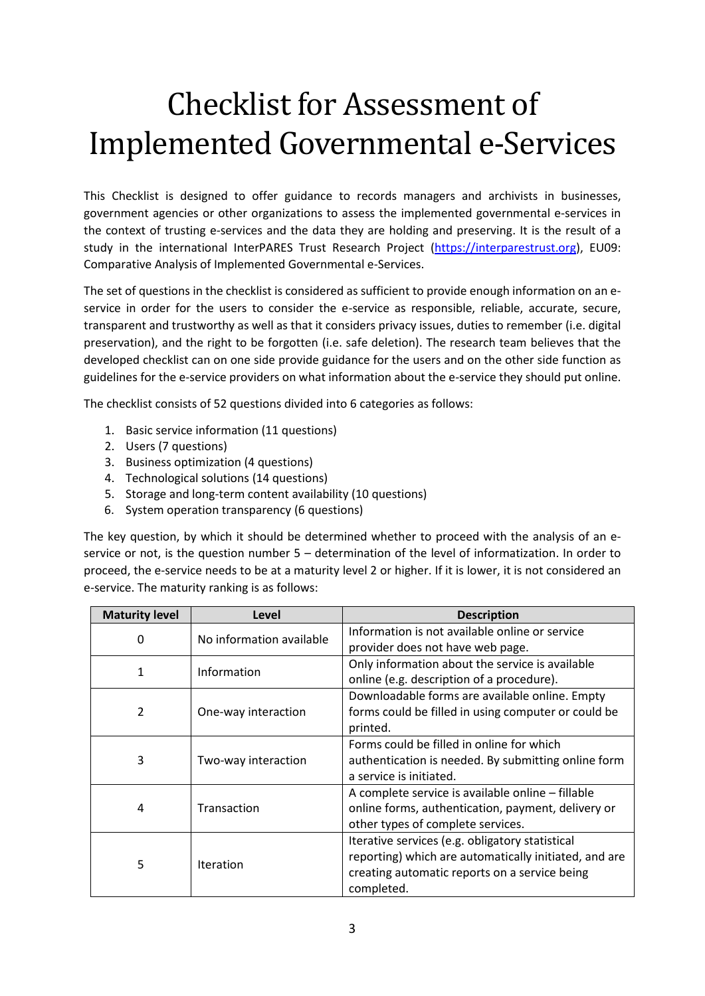## Checklist for Assessment of Implemented Governmental e-Services

This Checklist is designed to offer guidance to records managers and archivists in businesses, government agencies or other organizations to assess the implemented governmental e-services in the context of trusting e-services and the data they are holding and preserving. It is the result of a study in the international InterPARES Trust Research Project [\(https://interparestrust.org\)](https://interparestrust.org/), EU09: Comparative Analysis of Implemented Governmental e-Services.

The set of questions in the checklist is considered as sufficient to provide enough information on an eservice in order for the users to consider the e-service as responsible, reliable, accurate, secure, transparent and trustworthy as well as that it considers privacy issues, duties to remember (i.e. digital preservation), and the right to be forgotten (i.e. safe deletion). The research team believes that the developed checklist can on one side provide guidance for the users and on the other side function as guidelines for the e-service providers on what information about the e-service they should put online.

The checklist consists of 52 questions divided into 6 categories as follows:

- 1. Basic service information (11 questions)
- 2. Users (7 questions)
- 3. Business optimization (4 questions)
- 4. Technological solutions (14 questions)
- 5. Storage and long-term content availability (10 questions)
- 6. System operation transparency (6 questions)

The key question, by which it should be determined whether to proceed with the analysis of an eservice or not, is the question number 5 – determination of the level of informatization. In order to proceed, the e-service needs to be at a maturity level 2 or higher. If it is lower, it is not considered an e-service. The maturity ranking is as follows:

| <b>Maturity level</b> | Level                    | <b>Description</b>                                    |  |  |  |  |
|-----------------------|--------------------------|-------------------------------------------------------|--|--|--|--|
| 0                     | No information available | Information is not available online or service        |  |  |  |  |
|                       |                          | provider does not have web page.                      |  |  |  |  |
| 1                     | Information              | Only information about the service is available       |  |  |  |  |
|                       |                          | online (e.g. description of a procedure).             |  |  |  |  |
|                       |                          | Downloadable forms are available online. Empty        |  |  |  |  |
| $\overline{2}$        | One-way interaction      | forms could be filled in using computer or could be   |  |  |  |  |
|                       |                          | printed.                                              |  |  |  |  |
|                       |                          | Forms could be filled in online for which             |  |  |  |  |
| 3                     | Two-way interaction      | authentication is needed. By submitting online form   |  |  |  |  |
|                       |                          | a service is initiated.                               |  |  |  |  |
|                       |                          | A complete service is available online - fillable     |  |  |  |  |
| 4                     | Transaction              | online forms, authentication, payment, delivery or    |  |  |  |  |
|                       |                          | other types of complete services.                     |  |  |  |  |
|                       |                          | Iterative services (e.g. obligatory statistical       |  |  |  |  |
| 5                     | <b>Iteration</b>         | reporting) which are automatically initiated, and are |  |  |  |  |
|                       |                          | creating automatic reports on a service being         |  |  |  |  |
|                       |                          | completed.                                            |  |  |  |  |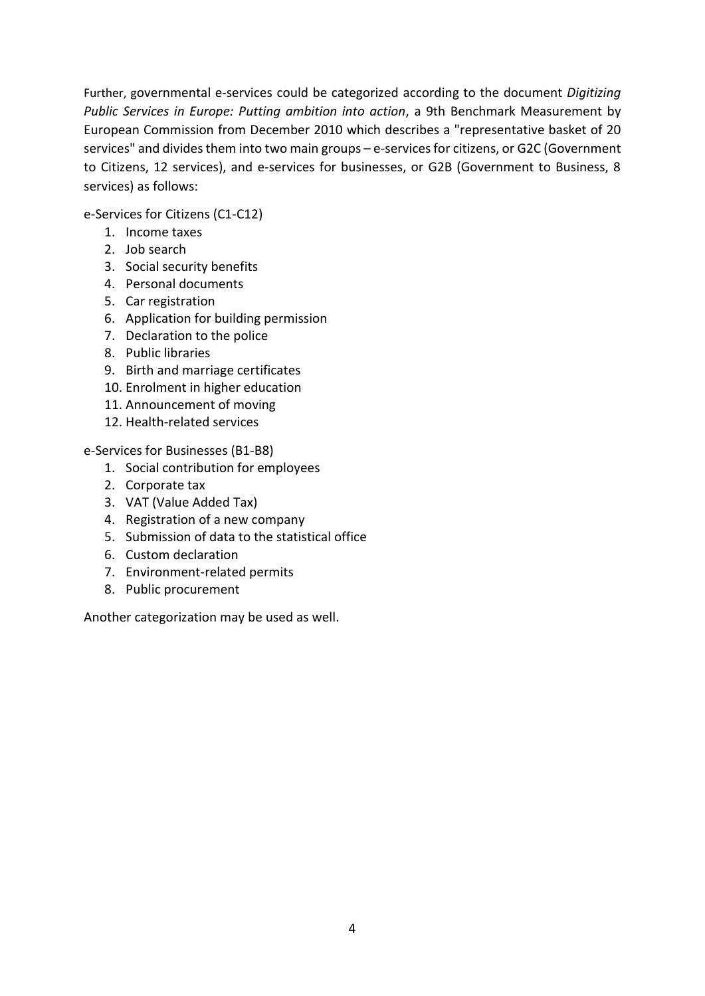Further, governmental e-services could be categorized according to the document *Digitizing Public Services in Europe: Putting ambition into action*, a 9th Benchmark Measurement by European Commission from December 2010 which describes a "representative basket of 20 services" and divides them into two main groups – e-services for citizens, or G2C (Government to Citizens, 12 services), and e-services for businesses, or G2B (Government to Business, 8 services) as follows:

e-Services for Citizens (C1-C12)

- 1. Income taxes
- 2. Job search
- 3. Social security benefits
- 4. Personal documents
- 5. Car registration
- 6. Application for building permission
- 7. Declaration to the police
- 8. Public libraries
- 9. Birth and marriage certificates
- 10. Enrolment in higher education
- 11. Announcement of moving
- 12. Health-related services

e-Services for Businesses (B1-B8)

- 1. Social contribution for employees
- 2. Corporate tax
- 3. VAT (Value Added Tax)
- 4. Registration of a new company
- 5. Submission of data to the statistical office
- 6. Custom declaration
- 7. Environment-related permits
- 8. Public procurement

Another categorization may be used as well.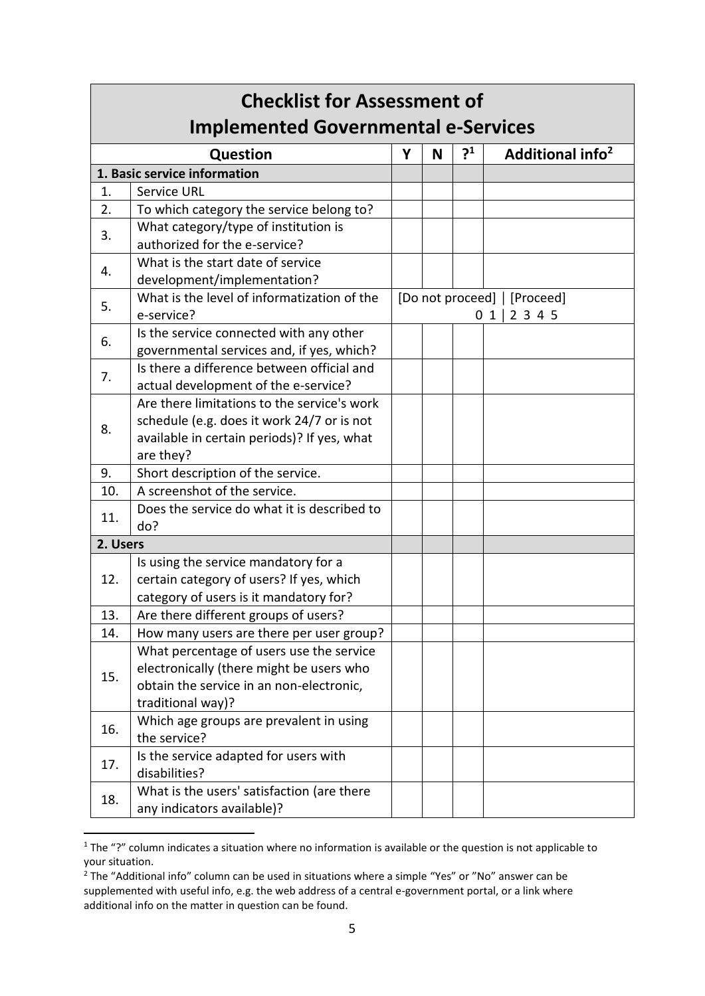| <b>Checklist for Assessment of</b><br><b>Implemented Governmental e-Services</b> |                                                                                                                                                       |                                               |   |                |                              |
|----------------------------------------------------------------------------------|-------------------------------------------------------------------------------------------------------------------------------------------------------|-----------------------------------------------|---|----------------|------------------------------|
|                                                                                  | <b>Question</b>                                                                                                                                       | Y                                             | N | $\mathbf{S}^1$ | Additional info <sup>2</sup> |
|                                                                                  | 1. Basic service information                                                                                                                          |                                               |   |                |                              |
| 1.                                                                               | <b>Service URL</b>                                                                                                                                    |                                               |   |                |                              |
| 2.                                                                               | To which category the service belong to?                                                                                                              |                                               |   |                |                              |
| 3.                                                                               | What category/type of institution is<br>authorized for the e-service?                                                                                 |                                               |   |                |                              |
| 4.                                                                               | What is the start date of service<br>development/implementation?                                                                                      |                                               |   |                |                              |
| 5.                                                                               | What is the level of informatization of the<br>e-service?                                                                                             | [Do not proceed]   [Proceed]<br>2 3 4 5<br>01 |   |                |                              |
| 6.                                                                               | Is the service connected with any other<br>governmental services and, if yes, which?                                                                  |                                               |   |                |                              |
| 7.                                                                               | Is there a difference between official and<br>actual development of the e-service?                                                                    |                                               |   |                |                              |
| 8.                                                                               | Are there limitations to the service's work<br>schedule (e.g. does it work 24/7 or is not<br>available in certain periods)? If yes, what<br>are they? |                                               |   |                |                              |
| 9.                                                                               | Short description of the service.                                                                                                                     |                                               |   |                |                              |
| 10.                                                                              | A screenshot of the service.                                                                                                                          |                                               |   |                |                              |
| 11.                                                                              | Does the service do what it is described to<br>do?                                                                                                    |                                               |   |                |                              |
| 2. Users                                                                         |                                                                                                                                                       |                                               |   |                |                              |
| 12.                                                                              | Is using the service mandatory for a<br>certain category of users? If yes, which<br>category of users is it mandatory for?                            |                                               |   |                |                              |
| 13.                                                                              | Are there different groups of users?                                                                                                                  |                                               |   |                |                              |
| 14.                                                                              | How many users are there per user group?                                                                                                              |                                               |   |                |                              |
| 15.                                                                              | What percentage of users use the service<br>electronically (there might be users who<br>obtain the service in an non-electronic,<br>traditional way)? |                                               |   |                |                              |
| 16.                                                                              | Which age groups are prevalent in using<br>the service?                                                                                               |                                               |   |                |                              |
| 17.                                                                              | Is the service adapted for users with<br>disabilities?                                                                                                |                                               |   |                |                              |
| 18.                                                                              | What is the users' satisfaction (are there<br>any indicators available)?                                                                              |                                               |   |                |                              |

<sup>1</sup> The "?" column indicates a situation where no information is available or the question is not applicable to your situation.

**.** 

 $\frac{2}{3}$  The "Additional info" column can be used in situations where a simple "Yes" or "No" answer can be supplemented with useful info, e.g. the web address of a central e-government portal, or a link where additional info on the matter in question can be found.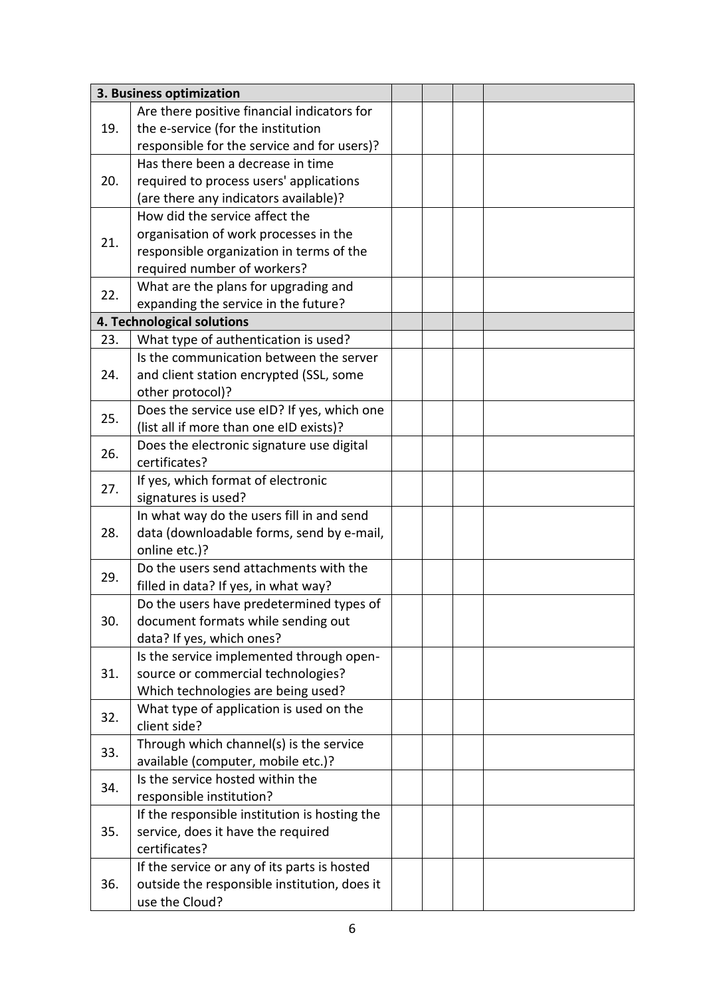|     | 3. Business optimization                      |  |  |
|-----|-----------------------------------------------|--|--|
|     | Are there positive financial indicators for   |  |  |
| 19. | the e-service (for the institution            |  |  |
|     | responsible for the service and for users)?   |  |  |
|     | Has there been a decrease in time             |  |  |
| 20. | required to process users' applications       |  |  |
|     | (are there any indicators available)?         |  |  |
|     | How did the service affect the                |  |  |
|     | organisation of work processes in the         |  |  |
| 21. | responsible organization in terms of the      |  |  |
|     | required number of workers?                   |  |  |
|     | What are the plans for upgrading and          |  |  |
| 22. | expanding the service in the future?          |  |  |
|     | 4. Technological solutions                    |  |  |
| 23. | What type of authentication is used?          |  |  |
|     | Is the communication between the server       |  |  |
| 24. | and client station encrypted (SSL, some       |  |  |
|     | other protocol)?                              |  |  |
|     | Does the service use eID? If yes, which one   |  |  |
| 25. | (list all if more than one eID exists)?       |  |  |
|     | Does the electronic signature use digital     |  |  |
| 26. | certificates?                                 |  |  |
|     |                                               |  |  |
| 27. | If yes, which format of electronic            |  |  |
|     | signatures is used?                           |  |  |
|     | In what way do the users fill in and send     |  |  |
| 28. | data (downloadable forms, send by e-mail,     |  |  |
|     | online etc.)?                                 |  |  |
| 29. | Do the users send attachments with the        |  |  |
|     | filled in data? If yes, in what way?          |  |  |
|     | Do the users have predetermined types of      |  |  |
| 30. | document formats while sending out            |  |  |
|     | data? If yes, which ones?                     |  |  |
|     | Is the service implemented through open-      |  |  |
| 31. | source or commercial technologies?            |  |  |
|     | Which technologies are being used?            |  |  |
| 32. | What type of application is used on the       |  |  |
|     | client side?                                  |  |  |
| 33. | Through which channel(s) is the service       |  |  |
|     | available (computer, mobile etc.)?            |  |  |
| 34. | Is the service hosted within the              |  |  |
|     | responsible institution?                      |  |  |
| 35. | If the responsible institution is hosting the |  |  |
|     | service, does it have the required            |  |  |
|     | certificates?                                 |  |  |
|     | If the service or any of its parts is hosted  |  |  |
| 36. | outside the responsible institution, does it  |  |  |
|     | use the Cloud?                                |  |  |